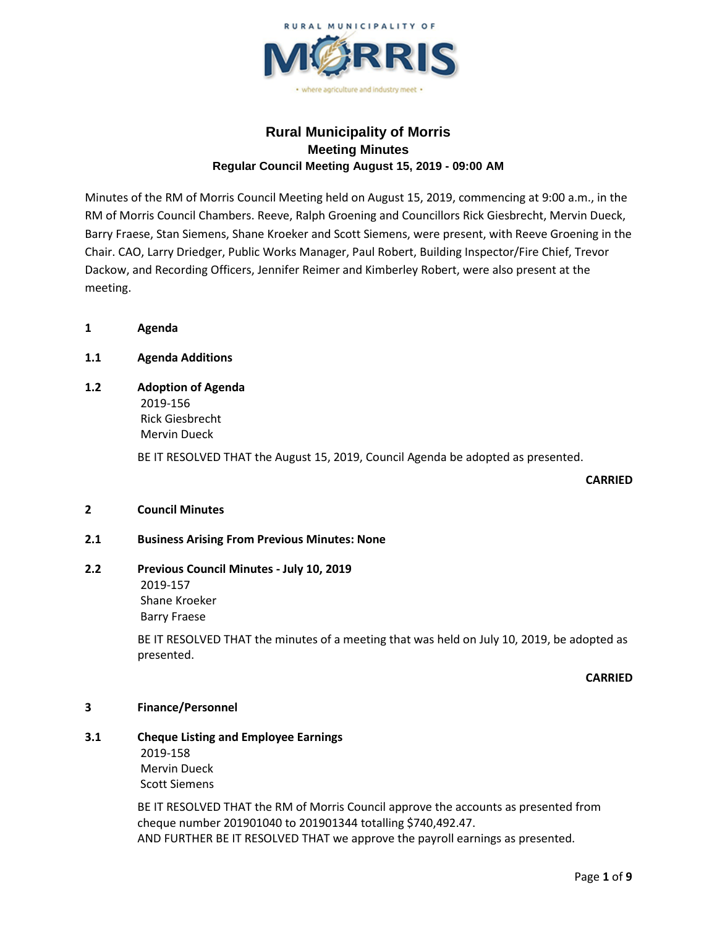

# **Rural Municipality of Morris Meeting Minutes Regular Council Meeting August 15, 2019 - 09:00 AM**

Minutes of the RM of Morris Council Meeting held on August 15, 2019, commencing at 9:00 a.m., in the RM of Morris Council Chambers. Reeve, Ralph Groening and Councillors Rick Giesbrecht, Mervin Dueck, Barry Fraese, Stan Siemens, Shane Kroeker and Scott Siemens, were present, with Reeve Groening in the Chair. CAO, Larry Driedger, Public Works Manager, Paul Robert, Building Inspector/Fire Chief, Trevor Dackow, and Recording Officers, Jennifer Reimer and Kimberley Robert, were also present at the meeting.

**1 Agenda**

## **1.1 Agenda Additions**

# **1.2 Adoption of Agenda** 2019-156 Rick Giesbrecht

Mervin Dueck

BE IT RESOLVED THAT the August 15, 2019, Council Agenda be adopted as presented.

### **CARRIED**

### **2 Council Minutes**

## **2.1 Business Arising From Previous Minutes: None**

# **2.2 Previous Council Minutes - July 10, 2019**

2019-157 Shane Kroeker Barry Fraese

BE IT RESOLVED THAT the minutes of a meeting that was held on July 10, 2019, be adopted as presented.

**CARRIED**

### **3 Finance/Personnel**

## **3.1 Cheque Listing and Employee Earnings**

2019-158 Mervin Dueck Scott Siemens

BE IT RESOLVED THAT the RM of Morris Council approve the accounts as presented from cheque number 201901040 to 201901344 totalling \$740,492.47. AND FURTHER BE IT RESOLVED THAT we approve the payroll earnings as presented.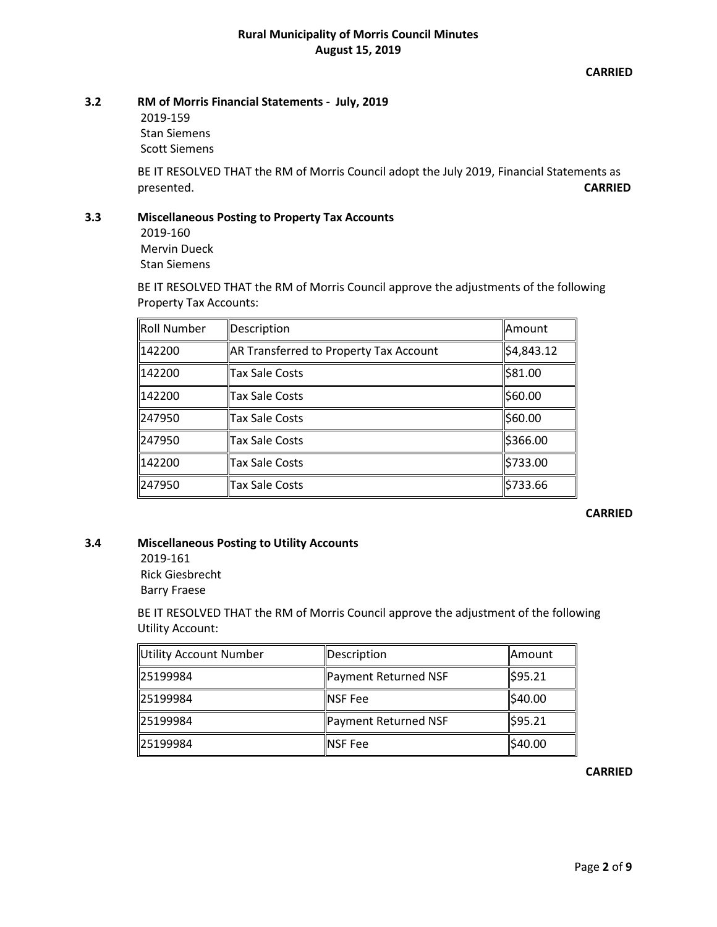**CARRIED**

## **3.2 RM of Morris Financial Statements - July, 2019**

2019-159 Stan Siemens Scott Siemens

BE IT RESOLVED THAT the RM of Morris Council adopt the July 2019, Financial Statements as presented. **CARRIED**

## **3.3 Miscellaneous Posting to Property Tax Accounts**

2019-160 Mervin Dueck Stan Siemens

BE IT RESOLVED THAT the RM of Morris Council approve the adjustments of the following Property Tax Accounts:

| Roll Number | Description                            | Amount     |
|-------------|----------------------------------------|------------|
| 142200      | AR Transferred to Property Tax Account | \$4,843.12 |
| 142200      | Tax Sale Costs                         | \$81.00    |
| 142200      | Tax Sale Costs                         | \$60.00    |
| 247950      | Tax Sale Costs                         | \$60.00    |
| 247950      | Tax Sale Costs                         | \$366.00   |
| 142200      | Tax Sale Costs                         | \$733.00   |
| 247950      | Tax Sale Costs                         | \$733.66   |

## **CARRIED**

## **3.4 Miscellaneous Posting to Utility Accounts**

2019-161 Rick Giesbrecht

Barry Fraese

BE IT RESOLVED THAT the RM of Morris Council approve the adjustment of the following Utility Account:

| Utility Account Number | Description          | ∥Amount  |
|------------------------|----------------------|----------|
| 25199984               | Payment Returned NSF | \$95.21  |
| 25199984               | <b>INSF Fee</b>      | ∥\$40.00 |
| 25199984               | Payment Returned NSF | \$95.21  |
| 25199984               | <b>INSF Fee</b>      | \$40.00  |

**CARRIED**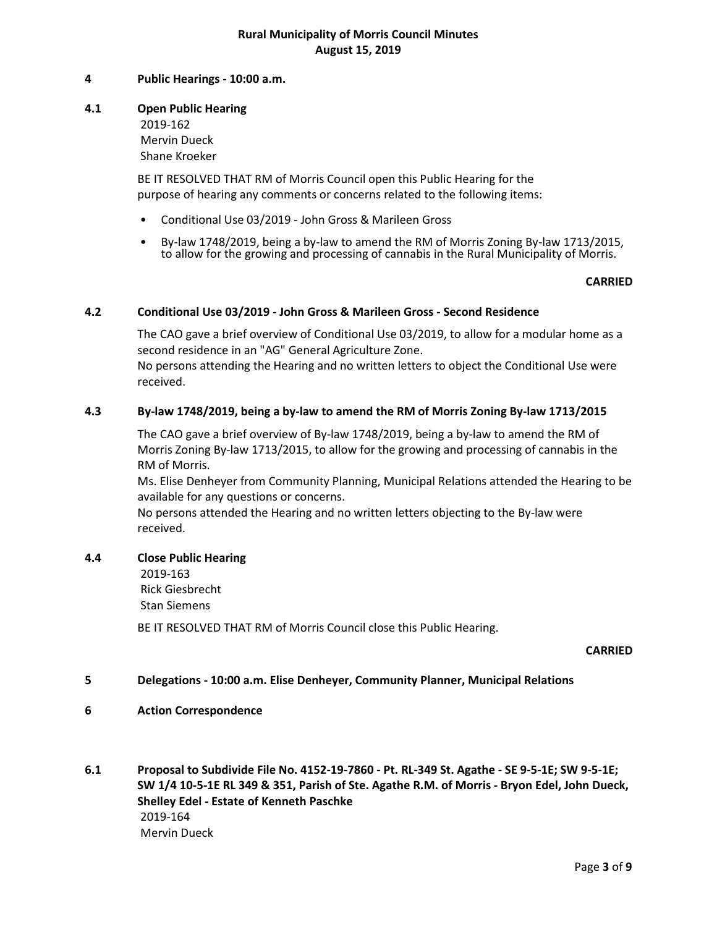## **4 Public Hearings - 10:00 a.m.**

## **4.1 Open Public Hearing** 2019-162 Mervin Dueck

Shane Kroeker

BE IT RESOLVED THAT RM of Morris Council open this Public Hearing for the purpose of hearing any comments or concerns related to the following items:

- Conditional Use 03/2019 John Gross & Marileen Gross
- By-law 1748/2019, being a by-law to amend the RM of Morris Zoning By-law 1713/2015, to allow for the growing and processing of cannabis in the Rural Municipality of Morris.

### **CARRIED**

### **4.2 Conditional Use 03/2019 - John Gross & Marileen Gross - Second Residence**

The CAO gave a brief overview of Conditional Use 03/2019, to allow for a modular home as a second residence in an "AG" General Agriculture Zone. No persons attending the Hearing and no written letters to object the Conditional Use were received.

### **4.3 By-law 1748/2019, being a by-law to amend the RM of Morris Zoning By-law 1713/2015**

The CAO gave a brief overview of By-law 1748/2019, being a by-law to amend the RM of Morris Zoning By-law 1713/2015, to allow for the growing and processing of cannabis in the RM of Morris.

Ms. Elise Denheyer from Community Planning, Municipal Relations attended the Hearing to be available for any questions or concerns.

No persons attended the Hearing and no written letters objecting to the By-law were received.

### **4.4 Close Public Hearing**

2019-163

Rick Giesbrecht Stan Siemens

BE IT RESOLVED THAT RM of Morris Council close this Public Hearing.

## **CARRIED**

### **5 Delegations - 10:00 a.m. Elise Denheyer, Community Planner, Municipal Relations**

- **6 Action Correspondence**
- **6.1 Proposal to Subdivide File No. 4152-19-7860 - Pt. RL-349 St. Agathe - SE 9-5-1E; SW 9-5-1E; SW 1/4 10-5-1E RL 349 & 351, Parish of Ste. Agathe R.M. of Morris - Bryon Edel, John Dueck, Shelley Edel - Estate of Kenneth Paschke** 2019-164 Mervin Dueck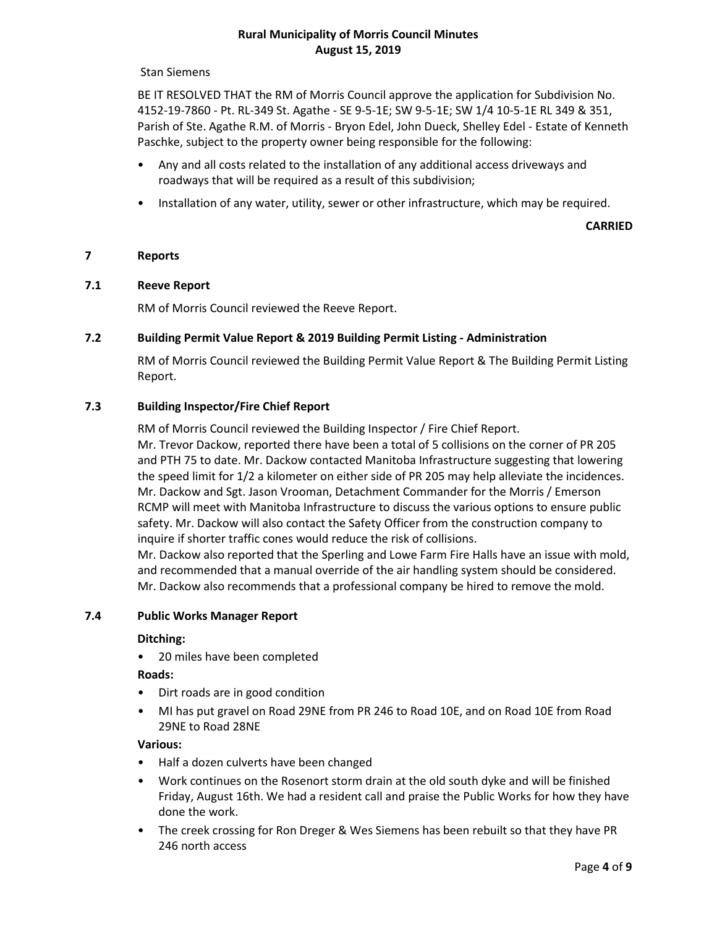Stan Siemens

BE IT RESOLVED THAT the RM of Morris Council approve the application for Subdivision No. 4152-19-7860 - Pt. RL-349 St. Agathe - SE 9-5-1E; SW 9-5-1E; SW 1/4 10-5-1E RL 349 & 351, Parish of Ste. Agathe R.M. of Morris - Bryon Edel, John Dueck, Shelley Edel - Estate of Kenneth Paschke, subject to the property owner being responsible for the following:

- Any and all costs related to the installation of any additional access driveways and roadways that will be required as a result of this subdivision;
- Installation of any water, utility, sewer or other infrastructure, which may be required.

**CARRIED**

#### **7 Reports**

### **7.1 Reeve Report**

RM of Morris Council reviewed the Reeve Report.

#### **7.2 Building Permit Value Report & 2019 Building Permit Listing - Administration**

RM of Morris Council reviewed the Building Permit Value Report & The Building Permit Listing Report.

## **7.3 Building Inspector/Fire Chief Report**

RM of Morris Council reviewed the Building Inspector / Fire Chief Report.

Mr. Trevor Dackow, reported there have been a total of 5 collisions on the corner of PR 205 and PTH 75 to date. Mr. Dackow contacted Manitoba Infrastructure suggesting that lowering the speed limit for 1/2 a kilometer on either side of PR 205 may help alleviate the incidences. Mr. Dackow and Sgt. Jason Vrooman, Detachment Commander for the Morris / Emerson RCMP will meet with Manitoba Infrastructure to discuss the various options to ensure public safety. Mr. Dackow will also contact the Safety Officer from the construction company to inquire if shorter traffic cones would reduce the risk of collisions.

Mr. Dackow also reported that the Sperling and Lowe Farm Fire Halls have an issue with mold, and recommended that a manual override of the air handling system should be considered. Mr. Dackow also recommends that a professional company be hired to remove the mold.

### **7.4 Public Works Manager Report**

#### **Ditching:**

• 20 miles have been completed

### **Roads:**

- Dirt roads are in good condition
- MI has put gravel on Road 29NE from PR 246 to Road 10E, and on Road 10E from Road 29NE to Road 28NE

#### **Various:**

- Half a dozen culverts have been changed
- Work continues on the Rosenort storm drain at the old south dyke and will be finished Friday, August 16th. We had a resident call and praise the Public Works for how they have done the work.
- The creek crossing for Ron Dreger & Wes Siemens has been rebuilt so that they have PR 246 north access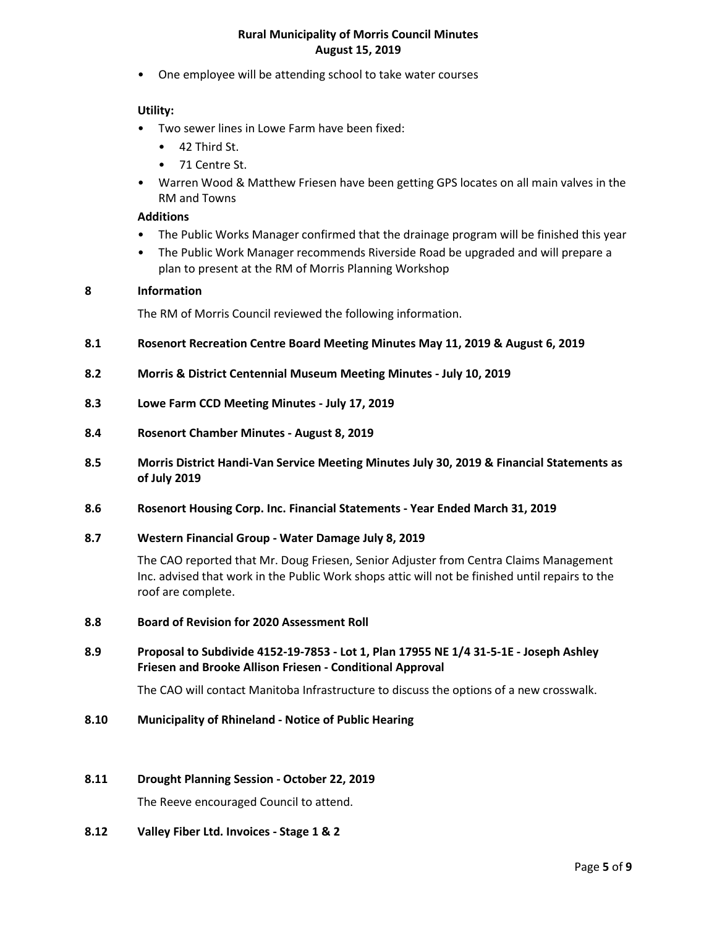• One employee will be attending school to take water courses

### **Utility:**

- Two sewer lines in Lowe Farm have been fixed:
	- 42 Third St.
	- 71 Centre St.
- Warren Wood & Matthew Friesen have been getting GPS locates on all main valves in the RM and Towns

## **Additions**

- The Public Works Manager confirmed that the drainage program will be finished this year
- The Public Work Manager recommends Riverside Road be upgraded and will prepare a plan to present at the RM of Morris Planning Workshop

## **8 Information**

The RM of Morris Council reviewed the following information.

- **8.1 Rosenort Recreation Centre Board Meeting Minutes May 11, 2019 & August 6, 2019**
- **8.2 Morris & District Centennial Museum Meeting Minutes - July 10, 2019**
- **8.3 Lowe Farm CCD Meeting Minutes - July 17, 2019**
- **8.4 Rosenort Chamber Minutes - August 8, 2019**
- **8.5 Morris District Handi-Van Service Meeting Minutes July 30, 2019 & Financial Statements as of July 2019**
- **8.6 Rosenort Housing Corp. Inc. Financial Statements - Year Ended March 31, 2019**
- **8.7 Western Financial Group - Water Damage July 8, 2019**

The CAO reported that Mr. Doug Friesen, Senior Adjuster from Centra Claims Management Inc. advised that work in the Public Work shops attic will not be finished until repairs to the roof are complete.

- **8.8 Board of Revision for 2020 Assessment Roll**
- **8.9 Proposal to Subdivide 4152-19-7853 - Lot 1, Plan 17955 NE 1/4 31-5-1E - Joseph Ashley Friesen and Brooke Allison Friesen - Conditional Approval**

The CAO will contact Manitoba Infrastructure to discuss the options of a new crosswalk.

**8.10 Municipality of Rhineland - Notice of Public Hearing**

## **8.11 Drought Planning Session - October 22, 2019**

The Reeve encouraged Council to attend.

**8.12 Valley Fiber Ltd. Invoices - Stage 1 & 2**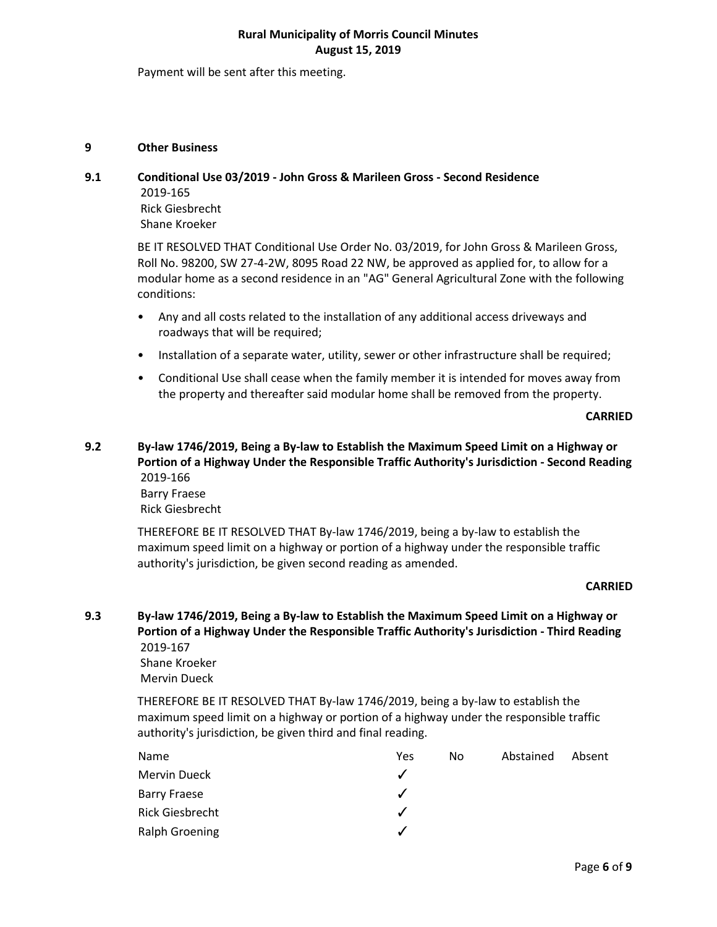Payment will be sent after this meeting.

## **9 Other Business**

## **9.1 Conditional Use 03/2019 - John Gross & Marileen Gross - Second Residence**

2019-165 Rick Giesbrecht Shane Kroeker

BE IT RESOLVED THAT Conditional Use Order No. 03/2019, for John Gross & Marileen Gross, Roll No. 98200, SW 27-4-2W, 8095 Road 22 NW, be approved as applied for, to allow for a modular home as a second residence in an "AG" General Agricultural Zone with the following conditions:

- Any and all costs related to the installation of any additional access driveways and roadways that will be required;
- Installation of a separate water, utility, sewer or other infrastructure shall be required;
- Conditional Use shall cease when the family member it is intended for moves away from the property and thereafter said modular home shall be removed from the property.

**CARRIED**

# **9.2 By-law 1746/2019, Being a By-law to Establish the Maximum Speed Limit on a Highway or Portion of a Highway Under the Responsible Traffic Authority's Jurisdiction - Second Reading** 2019-166

Barry Fraese Rick Giesbrecht

THEREFORE BE IT RESOLVED THAT By-law 1746/2019, being a by-law to establish the maximum speed limit on a highway or portion of a highway under the responsible traffic authority's jurisdiction, be given second reading as amended.

## **CARRIED**

**9.3 By-law 1746/2019, Being a By-law to Establish the Maximum Speed Limit on a Highway or Portion of a Highway Under the Responsible Traffic Authority's Jurisdiction - Third Reading** 2019-167

> Shane Kroeker Mervin Dueck

THEREFORE BE IT RESOLVED THAT By-law 1746/2019, being a by-law to establish the maximum speed limit on a highway or portion of a highway under the responsible traffic authority's jurisdiction, be given third and final reading.

| Name                   | Yes | No. | Abstained | Absent |
|------------------------|-----|-----|-----------|--------|
| Mervin Dueck           |     |     |           |        |
| <b>Barry Fraese</b>    |     |     |           |        |
| <b>Rick Giesbrecht</b> |     |     |           |        |
| Ralph Groening         |     |     |           |        |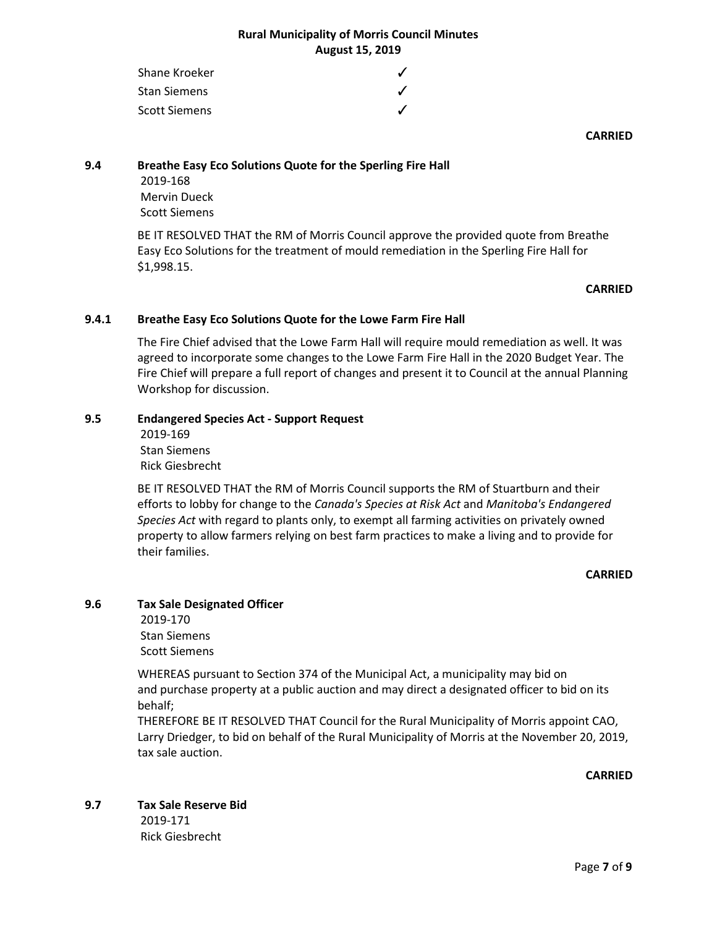| Shane Kroeker        |  |
|----------------------|--|
| <b>Stan Siemens</b>  |  |
| <b>Scott Siemens</b> |  |

### **CARRIED**

## **9.4 Breathe Easy Eco Solutions Quote for the Sperling Fire Hall**

2019-168 Mervin Dueck Scott Siemens

BE IT RESOLVED THAT the RM of Morris Council approve the provided quote from Breathe Easy Eco Solutions for the treatment of mould remediation in the Sperling Fire Hall for \$1,998.15.

## **CARRIED**

## **9.4.1 Breathe Easy Eco Solutions Quote for the Lowe Farm Fire Hall**

The Fire Chief advised that the Lowe Farm Hall will require mould remediation as well. It was agreed to incorporate some changes to the Lowe Farm Fire Hall in the 2020 Budget Year. The Fire Chief will prepare a full report of changes and present it to Council at the annual Planning Workshop for discussion.

## **9.5 Endangered Species Act - Support Request**

2019-169 Stan Siemens Rick Giesbrecht

BE IT RESOLVED THAT the RM of Morris Council supports the RM of Stuartburn and their efforts to lobby for change to the *Canada's Species at Risk Act* and *Manitoba's Endangered Species Act* with regard to plants only, to exempt all farming activities on privately owned property to allow farmers relying on best farm practices to make a living and to provide for their families.

### **CARRIED**

## **9.6 Tax Sale Designated Officer**

2019-170 Stan Siemens Scott Siemens

WHEREAS pursuant to Section 374 of the Municipal Act, a municipality may bid on and purchase property at a public auction and may direct a designated officer to bid on its behalf;

THEREFORE BE IT RESOLVED THAT Council for the Rural Municipality of Morris appoint CAO, Larry Driedger, to bid on behalf of the Rural Municipality of Morris at the November 20, 2019, tax sale auction.

**CARRIED**

**9.7 Tax Sale Reserve Bid**

2019-171 Rick Giesbrecht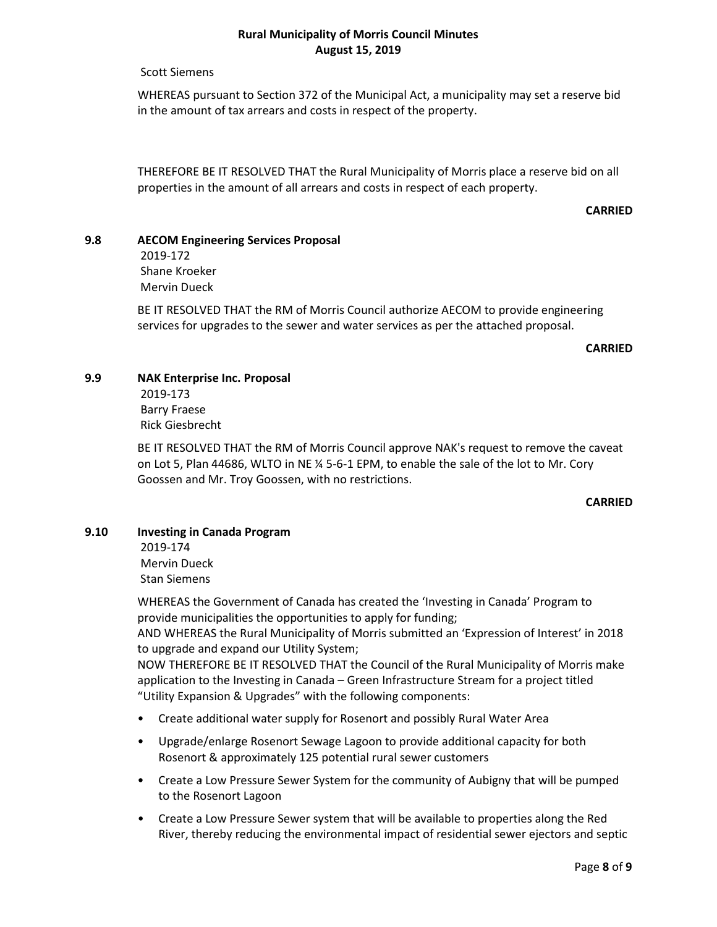Scott Siemens

WHEREAS pursuant to Section 372 of the Municipal Act, a municipality may set a reserve bid in the amount of tax arrears and costs in respect of the property.

THEREFORE BE IT RESOLVED THAT the Rural Municipality of Morris place a reserve bid on all properties in the amount of all arrears and costs in respect of each property.

### **CARRIED**

#### **9.8 AECOM Engineering Services Proposal**

2019-172 Shane Kroeker Mervin Dueck

BE IT RESOLVED THAT the RM of Morris Council authorize AECOM to provide engineering services for upgrades to the sewer and water services as per the attached proposal.

#### **CARRIED**

## **9.9 NAK Enterprise Inc. Proposal**

2019-173 Barry Fraese Rick Giesbrecht

BE IT RESOLVED THAT the RM of Morris Council approve NAK's request to remove the caveat on Lot 5, Plan 44686, WLTO in NE ¼ 5-6-1 EPM, to enable the sale of the lot to Mr. Cory Goossen and Mr. Troy Goossen, with no restrictions.

## **CARRIED**

## **9.10 Investing in Canada Program**

2019-174 Mervin Dueck Stan Siemens

WHEREAS the Government of Canada has created the 'Investing in Canada' Program to provide municipalities the opportunities to apply for funding; AND WHEREAS the Rural Municipality of Morris submitted an 'Expression of Interest' in 2018 to upgrade and expand our Utility System;

NOW THEREFORE BE IT RESOLVED THAT the Council of the Rural Municipality of Morris make application to the Investing in Canada – Green Infrastructure Stream for a project titled "Utility Expansion & Upgrades" with the following components:

- Create additional water supply for Rosenort and possibly Rural Water Area
- Upgrade/enlarge Rosenort Sewage Lagoon to provide additional capacity for both Rosenort & approximately 125 potential rural sewer customers
- Create a Low Pressure Sewer System for the community of Aubigny that will be pumped to the Rosenort Lagoon
- Create a Low Pressure Sewer system that will be available to properties along the Red River, thereby reducing the environmental impact of residential sewer ejectors and septic